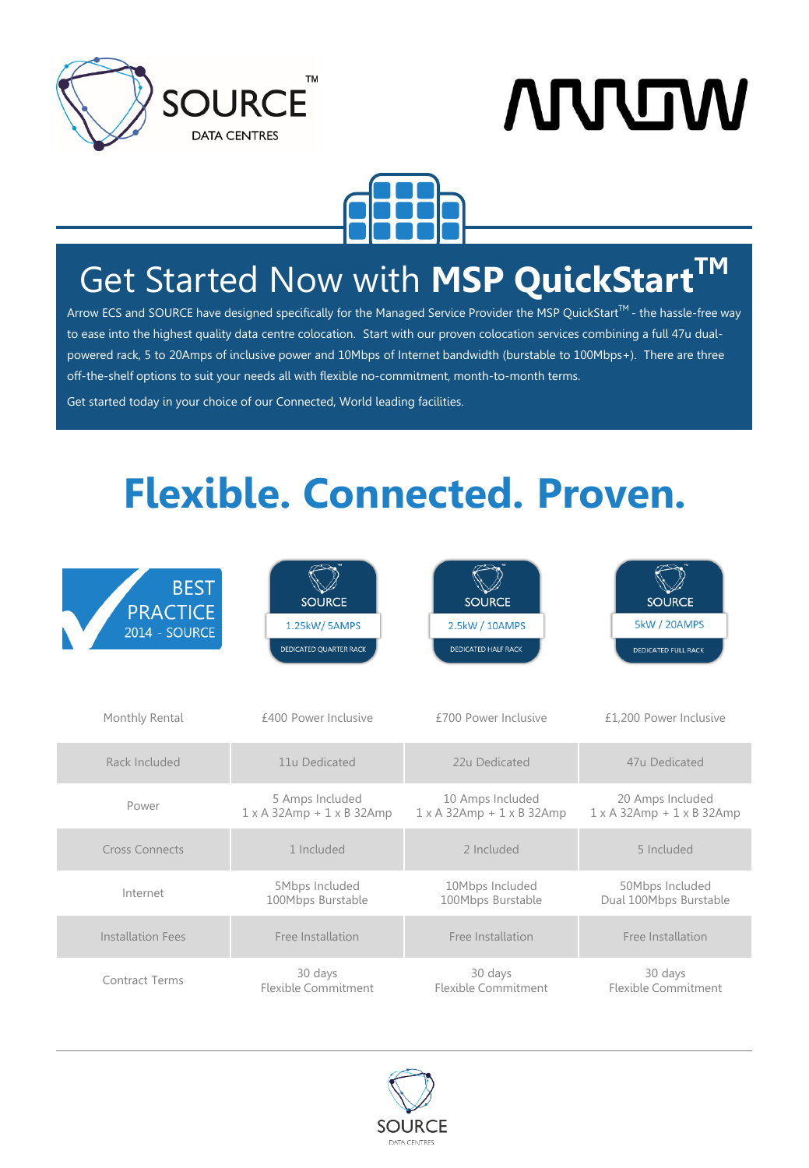





## Get Started Now with **MSP QuickStartTM**

Arrow ECS and SOURCE have designed specifically for the Managed Service Provider the MSP QuickStart $^{\text{TM}}$  - the hassle-free way to ease into the highest quality data centre colocation. Start with our proven colocation services combining a full 47u dualpowered rack, 5 to 20Amps of inclusive power and 10Mbps of Internet bandwidth (burstable to 100Mbps+). There are three off-the-shelf options to suit your needs all with flexible no-commitment, month-to-month terms.

Get started today in your choice of our Connected, World leading facilities.

# **Flexible. Connected. Proven.**

| <b>BEST</b>              | <b>SOURCE</b>                           | <b>SOURCE</b>                           | <b>SOURCE</b>                           |
|--------------------------|-----------------------------------------|-----------------------------------------|-----------------------------------------|
| <b>PRACTICE</b>          | 1.25kW/5AMPS                            | 2.5kW / 10AMPS                          | 5kW / 20AMPS                            |
| <b>2014 - SOURCE</b>     | DEDICATED QUARTER RACK                  | <b>DEDICATED HALF RACK</b>              | DEDICATED FULL RACK                     |
| Monthly Rental           | £400 Power Inclusive                    | £700 Power Inclusive                    | £1,200 Power Inclusive                  |
| Rack Included            | 11u Dedicated                           | 22u Dedicated                           | 47u Dedicated                           |
| Power                    | 5 Amps Included                         | 10 Amps Included                        | 20 Amps Included                        |
|                          | $1 \times A$ 32Amp + $1 \times B$ 32Amp | $1 \times A$ 32Amp + $1 \times B$ 32Amp | $1 \times A$ 32Amp + $1 \times B$ 32Amp |
| <b>Cross Connects</b>    | 1 Included                              | 2 Included                              | 5 Included                              |
| Internet                 | 5Mbps Included                          | 10Mbps Included                         | 50Mbps Included                         |
|                          | 100Mbps Burstable                       | 100Mbps Burstable                       | Dual 100Mbps Burstable                  |
| <b>Installation Fees</b> | Free Installation                       | Free Installation                       | Free Installation                       |
| <b>Contract Terms</b>    | 30 days                                 | 30 days                                 | 30 days                                 |
|                          | Flexible Commitment                     | Flexible Commitment                     | <b>Flexible Commitment</b>              |